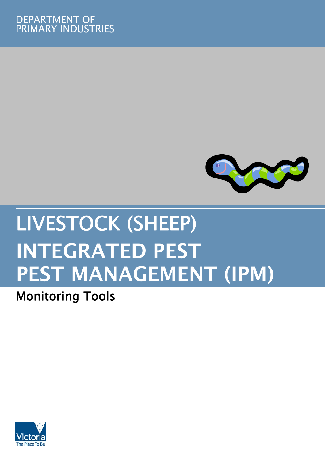

# LIVESTOCK (SHEEP) INTEGRATED PEST PEST MANAGEMENT (IPM)

# Monitoring Tools

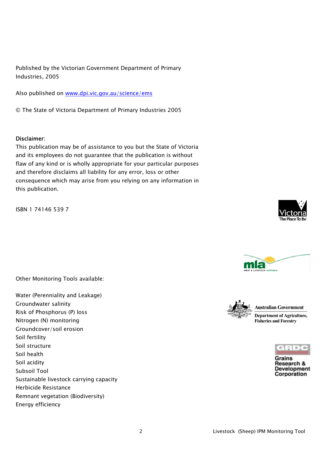Published by the Victorian Government Department of Primary Industries, 2005

Also published on www.dpi.vic.gov.au/science/ems

© The State of Victoria Department of Primary Industries 2005

#### Disclaimer:

This publication may be of assistance to you but the State of Victoria and its employees do not guarantee that the publication is without flaw of any kind or is wholly appropriate for your particular purposes and therefore disclaims all liability for any error, loss or other consequence which may arise from you relying on any information in this publication.

ISBN 1 74146 539 7

Other Monitoring Tools available:

Water (Perenniality and Leakage) Groundwater salinity Risk of Phosphorus (P) loss Nitrogen (N) monitoring Groundcover/soil erosion Soil fertility Soil structure Soil health Soil acidity Subsoil Tool Sustainable livestock carrying capacity Herbicide Resistance Remnant vegetation (Biodiversity) Energy efficiency







**Australian Government** 

**Department of Agriculture, Fisheries and Forestry** 

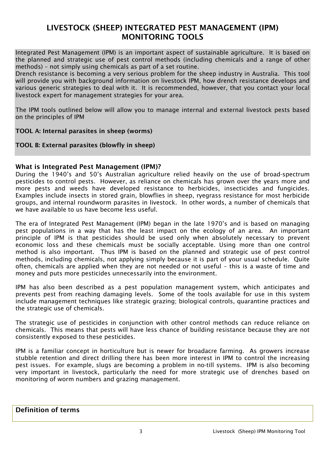# LIVESTOCK (SHEEP) INTEGRATED PEST MANAGEMENT (IPM) MONITORING TOOLS

Integrated Pest Management (IPM) is an important aspect of sustainable agriculture. It is based on the planned and strategic use of pest control methods (including chemicals and a range of other methods) – not simply using chemicals as part of a set routine.

Drench resistance is becoming a very serious problem for the sheep industry in Australia. This tool will provide you with background information on livestock IPM, how drench resistance develops and various generic strategies to deal with it. It is recommended, however, that you contact your local livestock expert for management strategies for your area.

The IPM tools outlined below will allow you to manage internal and external livestock pests based on the principles of IPM

#### TOOL A: Internal parasites in sheep (worms)

TOOL B: External parasites (blowfly in sheep)

#### What is Integrated Pest Management (IPM)?

During the 1940's and 50's Australian agriculture relied heavily on the use of broad-spectrum pesticides to control pests. However, as reliance on chemicals has grown over the years more and more pests and weeds have developed resistance to herbicides, insecticides and fungicides. Examples include insects in stored grain, blowflies in sheep, ryegrass resistance for most herbicide groups, and internal roundworm parasites in livestock. In other words, a number of chemicals that we have available to us have become less useful.

The era of Integrated Pest Management (IPM) began in the late 1970's and is based on managing pest populations in a way that has the least impact on the ecology of an area. An important principle of IPM is that pesticides should be used only when absolutely necessary to prevent economic loss and these chemicals must be socially acceptable. Using more than one control method is also important. Thus IPM is based on the planned and strategic use of pest control methods, including chemicals, not applying simply because it is part of your usual schedule. Quite often, chemicals are applied when they are not needed or not useful – this is a waste of time and money and puts more pesticides unnecessarily into the environment.

IPM has also been described as a pest population management system, which anticipates and prevents pest from reaching damaging levels. Some of the tools available for use in this system include management techniques like strategic grazing; biological controls, quarantine practices and the strategic use of chemicals.

The strategic use of pesticides in conjunction with other control methods can reduce reliance on chemicals. This means that pests will have less chance of building resistance because they are not consistently exposed to these pesticides.

IPM is a familiar concept in horticulture but is newer for broadacre farming. As growers increase stubble retention and direct drilling there has been more interest in IPM to control the increasing pest issues. For example, slugs are becoming a problem in no-till systems. IPM is also becoming very important in livestock, particularly the need for more strategic use of drenches based on monitoring of worm numbers and grazing management.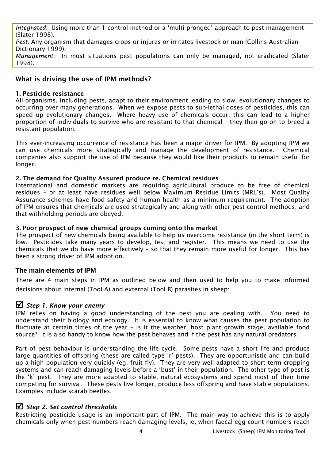*Integrated:* Using more than 1 control method or a 'multi-pronged' approach to pest management (Slater 1998).

*Pest:* Any organism that damages crops or injures or irritates livestock or man (Collins Australian Dictionary 1999).

*Management:* In most situations pest populations can only be managed, not eradicated (Slater 1998).

#### What is driving the use of IPM methods?

#### 1. Pesticide resistance

All organisms, including pests, adapt to their environment leading to slow, evolutionary changes to occurring over many generations. When we expose pests to sub-lethal doses of pesticides, this can speed up evolutionary changes. Where heavy use of chemicals occur, this can lead to a higher proportion of individuals to survive who are resistant to that chemical – they then go on to breed a resistant population.

This ever-increasing occurrence of resistance has been a major driver for IPM. By adopting IPM we can use chemicals more strategically and manage the development of resistance. Chemical companies also support the use of IPM because they would like their products to remain useful for longer.

#### 2. The demand for Quality Assured produce re. Chemical residues

International and domestic markets are requiring agricultural produce to be free of chemical residues – or at least have residues well below Maximum Residue Limits (MRL's). Most Quality Assurance schemes have food safety and human health as a minimum requirement. The adoption of IPM ensures that chemicals are used strategically and along with other pest control methods; and that withholding periods are obeyed.

#### 3. Poor prospect of new chemical groups coming onto the market

The prospect of new chemicals being available to help us overcome resistance (in the short term) is low. Pesticides take many years to develop, test and register. This means we need to use the chemicals that we do have more effectively – so that they remain more useful for longer. This has been a strong driver of IPM adoption.

#### **The main elements of IPM**

There are 4 main steps in IPM as outlined below and then used to help you to make informed decisions about internal (Tool A) and external (Tool B) parasites in sheep:

# ; *Step 1. Know your enemy*

IPM relies on having a good understanding of the pest you are dealing with. You need to understand their biology and ecology. It is essential to know what causes the pest population to fluctuate at certain times of the year – is it the weather, host plant growth stage, available food source? It is also handy to know how the pest behaves and if the pest has any natural predators.

Part of pest behaviour is understanding the life cycle. Some pests have a short life and produce large quantities of offspring (these are called type 'r' pests). They are opportunistic and can build up a high population very quickly (eg. fruit fly). They are very well adapted to short term cropping systems and can reach damaging levels before a 'bust' in their population. The other type of pest is the 'k' pest. They are more adapted to stable, natural ecosystems and spend most of their time competing for survival. These pests live longer, produce less offspring and have stable populations. Examples include scarab beetles.

# ; *Step 2. Set control thresholds*

Restricting pesticide usage is an important part of IPM. The main way to achieve this is to apply chemicals only when pest numbers reach damaging levels, ie, when faecal egg count numbers reach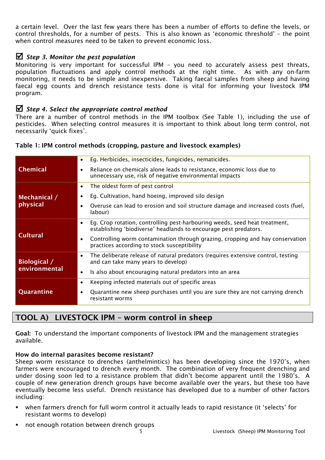a certain level. Over the last few years there has been a number of efforts to define the levels, or control thresholds, for a number of pests. This is also known as 'economic threshold' – the point when control measures need to be taken to prevent economic loss.

# ; *Step 3. Monitor the pest population*

Monitoring is very important for successful IPM – you need to accurately assess pest threats, population fluctuations and apply control methods at the right time. As with any on-farm monitoring, it needs to be simple and inexpensive. Taking faecal samples from sheep and having faecal egg counts and drench resistance tests done is vital for informing your livestock IPM program.

# ; *Step 4. Select the appropriate control method*

There are a number of control methods in the IPM toolbox (See Table 1), including the use of pesticides. When selecting control measures it is important to think about long term control, not necessarily 'quick fixes'.

| <b>Chemical</b>               | Eg. Herbicides, insecticides, fungicides, nematicides.<br>$\bullet$                                                                                         |
|-------------------------------|-------------------------------------------------------------------------------------------------------------------------------------------------------------|
|                               | Reliance on chemicals alone leads to resistance, economic loss due to<br>unnecessary use, risk of negative environmental impacts                            |
| Mechanical /<br>physical      | The oldest form of pest control<br>$\bullet$                                                                                                                |
|                               | Eg. Cultivation, hand hoeing, improved silo design                                                                                                          |
|                               | Overuse can lead to erosion and soil structure damage and increased costs (fuel,<br>labour)                                                                 |
| <b>Cultural</b>               | Eg. Crop rotation, controlling pest-harbouring weeds, seed heat treatment,<br>$\bullet$<br>establishing 'biodiverse' headlands to encourage pest predators. |
|                               | Controlling worm contamination through grazing, cropping and hay conservation<br>practices according to stock susceptibility                                |
| Biological /<br>environmental | The deliberate release of natural predators (requires extensive control, testing<br>$\bullet$<br>and can take many years to develop)                        |
|                               | Is also about encouraging natural predators into an area                                                                                                    |
| Quarantine                    | Keeping infected materials out of specific areas<br>$\bullet$                                                                                               |
|                               | Quarantine new sheep purchases until you are sure they are not carrying drench<br>resistant worms                                                           |
|                               |                                                                                                                                                             |

#### Table 1: IPM control methods (cropping, pasture and livestock examples)

# TOOL A) LIVESTOCK IPM – worm control in sheep

Goal: To understand the important components of livestock IPM and the management strategies available.

# How do internal parasites become resistant?

Sheep worm resistance to drenches (anthelmintics) has been developing since the 1970's, when farmers were encouraged to drench every month. The combination of very frequent drenching and under dosing soon led to a resistance problem that didn't become apparent until the 1980's. A couple of new generation drench groups have become available over the years, but these too have eventually become less useful. Drench resistance has developed due to a number of other factors including:

- when farmers drench for full worm control it actually leads to rapid resistance (it 'selects' for resistant worms to develop)
- not enough rotation between drench groups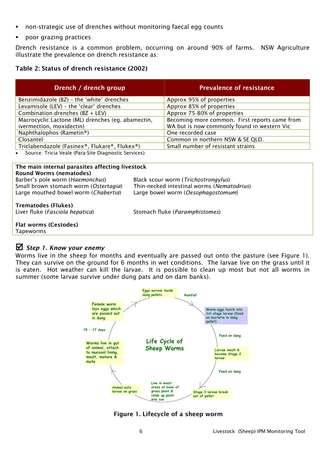- non-strategic use of drenches without monitoring faecal egg counts
- poor grazing practices

Drench resistance is a common problem, occurring on around 90% of farms. NSW Agriculture illustrate the prevalence on drench resistance as:

#### Table 2: Status of drench resistance (2002)

| Drench / drench group                                                         | <b>Prevalence of resistance</b>                                                              |  |  |
|-------------------------------------------------------------------------------|----------------------------------------------------------------------------------------------|--|--|
| Benzimidazole (BZ) - the 'white' drenches                                     | Approx 95% of properties                                                                     |  |  |
| Levamisole (LEV) - the 'clear' drenches                                       | Approx 85% of properties                                                                     |  |  |
| Combination drenches (BZ + LEV)                                               | Approx 75-80% of properties                                                                  |  |  |
| Macrocyclic Lactone (ML) drenches (eg. abamectin,<br>ivermection, moxidectin) | Becoming more common. First reports came from<br>WA but is now commonly found in western Vic |  |  |
| Naphthalophos (Rametin®)                                                      | One recorded case                                                                            |  |  |
| Closantel                                                                     | Common in northern NSW & SE QLD.                                                             |  |  |
| Triclabendazole (Fasinex®, Flukare®, Flukex®)                                 | Small number of resistant strains                                                            |  |  |
| Course: Trisia Veale (Bara Site Diagnostis Convises)                          |                                                                                              |  |  |

• Source: Tricia Veale (Para-Site Diagnostic Services)

#### The main internal parasites affecting livestock Round Worms (nematodes) Barber's pole worm (*Haemonchus*) Black scour worm (*Trichostrongylus*)

Large mouthed bowel worm (*Chabertia*) Large bowel worm (*Oesophagostomum*)

Small brown stomach worm (*Ostertagia*) Thin-necked intestinal worms (*Nematodrius*)

**Trematodes (Flukes)**<br>Liver fluke (*Fasciola hepatica*)

Liver fluke (*Fasciola hepatica*) Stomach fluke (*Paramphistomes*)

Flat worms (Cestodes) Tapeworms

# ; *Step 1. Know your enemy*

Worms live in the sheep for months and eventually are passed out onto the pasture (see Figure 1). They can survive on the ground for 6 months in wet conditions. The larvae live on the grass until it is eaten. Hot weather can kill the larvae. It is possible to clean up most but not all worms in summer (some larvae survive under dung pats and on dam banks).



# Figure 1. Lifecycle of a sheep worm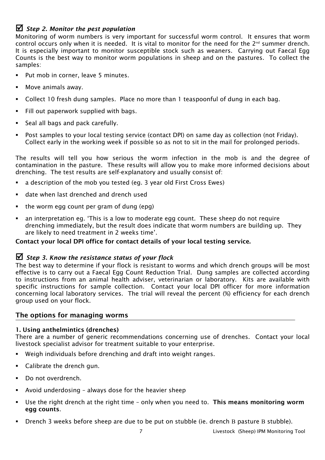# ; *Step 2. Monitor the pest population*

Monitoring of worm numbers is very important for successful worm control. It ensures that worm control occurs only when it is needed. It is vital to monitor for the need for the  $2<sup>nd</sup>$  summer drench. It is especially important to monitor susceptible stock such as weaners. Carrying out Faecal Egg Counts is the best way to monitor worm populations in sheep and on the pastures. To collect the samples:

- Put mob in corner, leave 5 minutes.
- Move animals away.
- Collect 10 fresh dung samples. Place no more than 1 teaspoonful of dung in each bag.
- Fill out paperwork supplied with bags.
- Seal all bags and pack carefully.
- Post samples to your local testing service (contact DPI) on same day as collection (not Friday). Collect early in the working week if possible so as not to sit in the mail for prolonged periods.

The results will tell you how serious the worm infection in the mob is and the degree of contamination in the pasture. These results will allow you to make more informed decisions about drenching. The test results are self-explanatory and usually consist of:

- a description of the mob you tested (eg. 3 year old First Cross Ewes)
- date when last drenched and drench used
- $\blacksquare$  the worm egg count per gram of dung (epg)
- an interpretation eg. 'This is a low to moderate egg count. These sheep do not require drenching immediately, but the result does indicate that worm numbers are building up. They are likely to need treatment in 2 weeks time'.

#### Contact your local DPI office for contact details of your local testing service.

# ; *Step 3. Know the resistance status of your flock*

The best way to determine if your flock is resistant to worms and which drench groups will be most effective is to carry out a Faecal Egg Count Reduction Trial. Dung samples are collected according to instructions from an animal health adviser, veterinarian or laboratory. Kits are available with specific instructions for sample collection. Contact your local DPI officer for more information concerning local laboratory services. The trial will reveal the percent (%) efficiency for each drench group used on your flock.

#### The options for managing worms

#### 1. Using anthelmintics (drenches)

There are a number of generic recommendations concerning use of drenches. Contact your local livestock specialist advisor for treatment suitable to your enterprise.

- Weigh individuals before drenching and draft into weight ranges.
- Calibrate the drench gun.
- Do not overdrench.
- Avoid underdosing always dose for the heavier sheep
- Use the right drench at the right time only when you need to. This means monitoring worm egg counts.
- Drench 3 weeks before sheep are due to be put on stubble (ie. drench B pasture B stubble).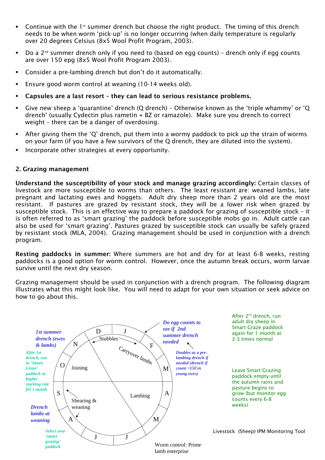- Continue with the  $1<sup>st</sup>$  summer drench but choose the right product. The timing of this drench needs to be when worm 'pick-up' is no longer occurring (when daily temperature is regularly over 20 degrees Celsius (8x5 Wool Profit Program, 2003).
- Do a  $2^{nd}$  summer drench only if you need to (based on egg counts) drench only if egg counts are over 150 epg (8x5 Wool Profit Program 2003).
- Consider a pre-lambing drench but don't do it automatically.
- Ensure good worm control at weaning (10-14 weeks old).
- Capsules are a last resort they can lead to serious resistance problems.
- Give new sheep a 'quarantine' drench (Q drench) Otherwise known as the 'triple whammy' or 'Q drench' (usually Cydectin plus rametin + BZ or ramazole). Make sure you drench to correct weight – there can be a danger of overdosing.
- After giving them the 'Q' drench, put them into a wormy paddock to pick up the strain of worms on your farm (if you have a few survivors of the Q drench, they are diluted into the system).
- Incorporate other strategies at every opportunity.

#### 2. Grazing management

Understand the susceptibility of your stock and manage grazing accordingly: Certain classes of livestock are more susceptible to worms than others. The least resistant are: weaned lambs, late pregnant and lactating ewes and hoggets. Adult dry sheep more than 2 years old are the most resistant. If pastures are grazed by resistant stock, they will be a lower risk when grazed by susceptible stock. This is an effective way to prepare a paddock for grazing of susceptible stock – it is often referred to as 'smart grazing' the paddock before susceptible mobs go in. Adult cattle can also be used for 'smart grazing'. Pastures grazed by susceptible stock can usually be safely grazed by resistant stock (MLA, 2004). Grazing management should be used in conjunction with a drench program.

Resting paddocks in summer: Where summers are hot and dry for at least 6-8 weeks, resting paddocks is a good option for worm control. However, once the autumn break occurs, worm larvae survive until the next dry season.

Grazing management should be used in conjunction with a drench program. The following diagram illustrates what this might look like. You will need to adapt for your own situation or seek advice on how to go about this.

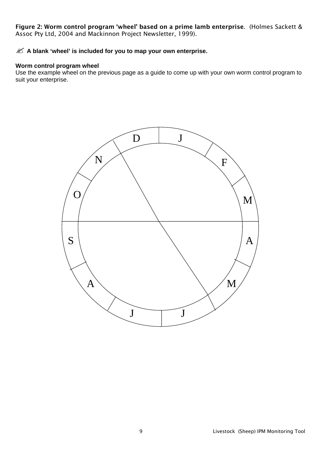Figure 2: Worm control program 'wheel' based on a prime lamb enterprise. (Holmes Sackett & Assoc Pty Ltd, 2004 and Mackinnon Project Newsletter, 1999).

#### $\mathcal{Z}$  **A blank 'wheel' is included for you to map your own enterprise.**

#### **Worm control program wheel**

Use the example wheel on the previous page as a guide to come up with your own worm control program to suit your enterprise.

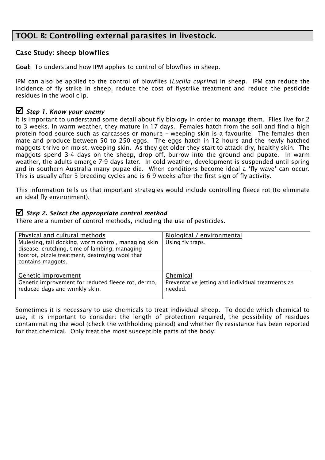# TOOL B: Controlling external parasites in livestock.

## Case Study: sheep blowflies

Goal: To understand how IPM applies to control of blowflies in sheep.

IPM can also be applied to the control of blowflies (*Lucilia cuprina*) in sheep. IPM can reduce the incidence of fly strike in sheep, reduce the cost of flystrike treatment and reduce the pesticide residues in the wool clip.

## ; *Step 1. Know your enemy*

It is important to understand some detail about fly biology in order to manage them. Flies live for 2 to 3 weeks. In warm weather, they mature in 17 days. Females hatch from the soil and find a high protein food source such as carcasses or manure – weeping skin is a favourite! The females then mate and produce between 50 to 250 eggs. The eggs hatch in 12 hours and the newly hatched maggots thrive on moist, weeping skin. As they get older they start to attack dry, healthy skin. The maggots spend 3-4 days on the sheep, drop off, burrow into the ground and pupate. In warm weather, the adults emerge 7-9 days later. In cold weather, development is suspended until spring and in southern Australia many pupae die. When conditions become ideal a 'fly wave' can occur. This is usually after 3 breeding cycles and is 6-9 weeks after the first sign of fly activity.

This information tells us that important strategies would include controlling fleece rot (to eliminate an ideal fly environment).

#### ; *Step 2. Select the appropriate control method*

There are a number of control methods, including the use of pesticides.

| Physical and cultural methods<br>Mulesing, tail docking, worm control, managing skin<br>disease, crutching, time of lambing, managing<br>footrot, pizzle treatment, destroying wool that<br>contains maggots. | Biological / environmental<br>Using fly traps.    |
|---------------------------------------------------------------------------------------------------------------------------------------------------------------------------------------------------------------|---------------------------------------------------|
| Genetic improvement                                                                                                                                                                                           | Chemical                                          |
| Genetic improvement for reduced fleece rot, dermo,                                                                                                                                                            | Preventative jetting and individual treatments as |
| reduced dags and wrinkly skin.                                                                                                                                                                                | needed.                                           |

Sometimes it is necessary to use chemicals to treat individual sheep. To decide which chemical to use, it is important to consider: the length of protection required, the possibility of residues contaminating the wool (check the withholding period) and whether fly resistance has been reported for that chemical. Only treat the most susceptible parts of the body.